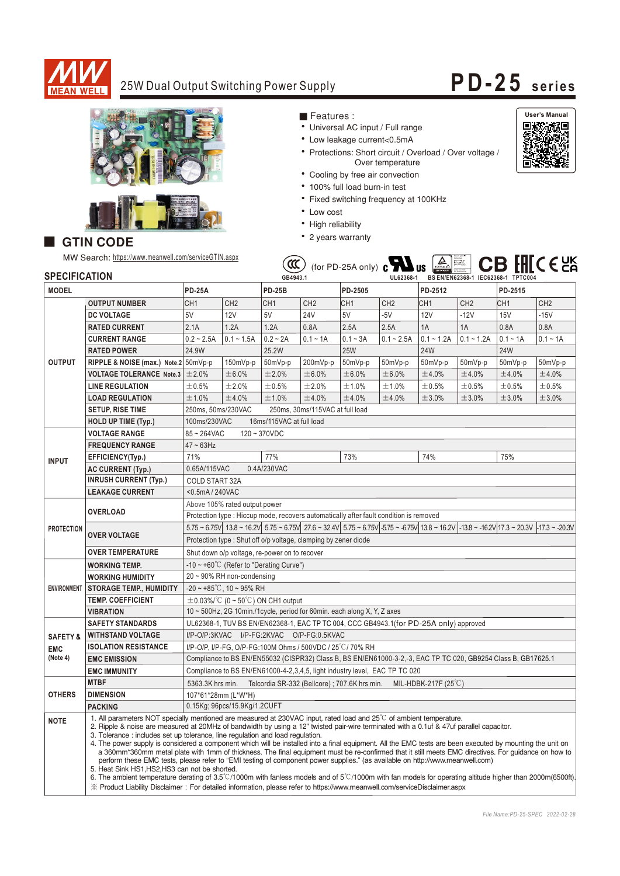

# 25W Dual Output Switching Power Supply **PD-25 series**



## **GTIN CODE**

MMC Conclusion https://www.moonwell.com/oorviseCTIN.com

### Features :

- Universal AC input / Full range
- Low leakage current<0.5mA
- Protections: Short circuit / Overload / Over voltage / Over temperature

t gepruft

- Cooling by free air convection
- 100% full load burn-in test
- Fixed switching frequency at 100KHz
- Low cost
- High reliability
- 2 years warranty



**User's Manual**

**只数数果** 

| <b>SPECIFICATION</b> |                                                                                                   | (for PD-25A only) $\mathbf{C}$<br>GB4943.1                                                                                                                                                                                                                                                                                                                                                                                                                                                                                                                                                                                                                                                                                                                                                                                                                                                                                                                                                                                                                                                                            |                   | UL62368-1       |                 | BS EN/EN62368-1   EC62368-1 TPTC004 |                 | B FHICE SE      |                 |                 |                 |
|----------------------|---------------------------------------------------------------------------------------------------|-----------------------------------------------------------------------------------------------------------------------------------------------------------------------------------------------------------------------------------------------------------------------------------------------------------------------------------------------------------------------------------------------------------------------------------------------------------------------------------------------------------------------------------------------------------------------------------------------------------------------------------------------------------------------------------------------------------------------------------------------------------------------------------------------------------------------------------------------------------------------------------------------------------------------------------------------------------------------------------------------------------------------------------------------------------------------------------------------------------------------|-------------------|-----------------|-----------------|-------------------------------------|-----------------|-----------------|-----------------|-----------------|-----------------|
| <b>MODEL</b>         |                                                                                                   | <b>PD-25A</b>                                                                                                                                                                                                                                                                                                                                                                                                                                                                                                                                                                                                                                                                                                                                                                                                                                                                                                                                                                                                                                                                                                         |                   | <b>PD-25B</b>   |                 | PD-2505                             |                 | PD-2512         |                 | PD-2515         |                 |
| <b>OUTPUT</b>        | <b>OUTPUT NUMBER</b>                                                                              | CH <sub>1</sub>                                                                                                                                                                                                                                                                                                                                                                                                                                                                                                                                                                                                                                                                                                                                                                                                                                                                                                                                                                                                                                                                                                       | CH <sub>2</sub>   | CH <sub>1</sub> | CH <sub>2</sub> | CH <sub>1</sub>                     | CH <sub>2</sub> | CH <sub>1</sub> | CH <sub>2</sub> | CH <sub>1</sub> | CH <sub>2</sub> |
|                      | <b>DC VOLTAGE</b>                                                                                 | 5V                                                                                                                                                                                                                                                                                                                                                                                                                                                                                                                                                                                                                                                                                                                                                                                                                                                                                                                                                                                                                                                                                                                    | <b>12V</b>        | 5V              | <b>24V</b>      | 5V                                  | $-5V$           | 12V             | $-12V$          | 15V             | $-15V$          |
|                      | <b>RATED CURRENT</b>                                                                              | 2.1A                                                                                                                                                                                                                                                                                                                                                                                                                                                                                                                                                                                                                                                                                                                                                                                                                                                                                                                                                                                                                                                                                                                  | 1.2A              | 1.2A            | 0.8A            | 2.5A                                | 2.5A            | 1A              | 1A              | 0.8A            | 0.8A            |
|                      | <b>CURRENT RANGE</b>                                                                              | $0.2 - 2.5A$                                                                                                                                                                                                                                                                                                                                                                                                                                                                                                                                                                                                                                                                                                                                                                                                                                                                                                                                                                                                                                                                                                          | $0.1 - 1.5A$      | $0.2 - 2A$      | $0.1 - 1A$      | $0.1 - 3A$                          | $0.1 - 2.5A$    | $0.1 - 1.2A$    | $0.1 - 1.2A$    | $0.1 - 1A$      | $0.1 - 1A$      |
|                      | <b>RATED POWER</b>                                                                                | 24.9W                                                                                                                                                                                                                                                                                                                                                                                                                                                                                                                                                                                                                                                                                                                                                                                                                                                                                                                                                                                                                                                                                                                 |                   | 25.2W           |                 | <b>25W</b>                          |                 | 24W             |                 | <b>24W</b>      |                 |
|                      | RIPPLE & NOISE (max.) Note.2 50mVp-p                                                              |                                                                                                                                                                                                                                                                                                                                                                                                                                                                                                                                                                                                                                                                                                                                                                                                                                                                                                                                                                                                                                                                                                                       | 150mVp-p          | 50mVp-p         | 200mVp-p        | 50mVp-p                             | 50mVp-p         | 50mVp-p         | 50mVp-p         | 50mVp-p         | 50mVp-p         |
|                      | <b>VOLTAGE TOLERANCE</b> Note.3 $\pm$ 2.0%                                                        |                                                                                                                                                                                                                                                                                                                                                                                                                                                                                                                                                                                                                                                                                                                                                                                                                                                                                                                                                                                                                                                                                                                       | ± 6.0%            | ±2.0%           | ±6.0%           | ± 6.0%                              | ± 6.0%          | ±4.0%           | ±4.0%           | ±4.0%           | ±4.0%           |
|                      | <b>LINE REGULATION</b>                                                                            | ±0.5%                                                                                                                                                                                                                                                                                                                                                                                                                                                                                                                                                                                                                                                                                                                                                                                                                                                                                                                                                                                                                                                                                                                 | ±2.0%             | ±0.5%           | ±2.0%           | ±1.0%                               | ±1.0%           | ±0.5%           | ±0.5%           | ±0.5%           | ±0.5%           |
|                      | <b>LOAD REGULATION</b>                                                                            | ±1.0%                                                                                                                                                                                                                                                                                                                                                                                                                                                                                                                                                                                                                                                                                                                                                                                                                                                                                                                                                                                                                                                                                                                 | ±4.0%             | ±1.0%           | ±4.0%           | ±4.0%                               | ±4.0%           | ±3.0%           | ±3.0%           | ±3.0%           | $\pm 3.0\%$     |
|                      | SETUP, RISE TIME                                                                                  | 250ms, 50ms/230VAC<br>250ms, 30ms/115VAC at full load                                                                                                                                                                                                                                                                                                                                                                                                                                                                                                                                                                                                                                                                                                                                                                                                                                                                                                                                                                                                                                                                 |                   |                 |                 |                                     |                 |                 |                 |                 |                 |
|                      | <b>HOLD UP TIME (Typ.)</b>                                                                        | 100ms/230VAC<br>16ms/115VAC at full load                                                                                                                                                                                                                                                                                                                                                                                                                                                                                                                                                                                                                                                                                                                                                                                                                                                                                                                                                                                                                                                                              |                   |                 |                 |                                     |                 |                 |                 |                 |                 |
| <b>INPUT</b>         | <b>VOLTAGE RANGE</b>                                                                              | $85 - 264$ VAC<br>$120 - 370VDC$                                                                                                                                                                                                                                                                                                                                                                                                                                                                                                                                                                                                                                                                                                                                                                                                                                                                                                                                                                                                                                                                                      |                   |                 |                 |                                     |                 |                 |                 |                 |                 |
|                      | <b>FREQUENCY RANGE</b>                                                                            | $47 \sim 63$ Hz                                                                                                                                                                                                                                                                                                                                                                                                                                                                                                                                                                                                                                                                                                                                                                                                                                                                                                                                                                                                                                                                                                       |                   |                 |                 |                                     |                 |                 |                 |                 |                 |
|                      | EFFICIENCY(Typ.)                                                                                  | 71%                                                                                                                                                                                                                                                                                                                                                                                                                                                                                                                                                                                                                                                                                                                                                                                                                                                                                                                                                                                                                                                                                                                   | 77%<br>73%<br>74% |                 |                 |                                     |                 | 75%             |                 |                 |                 |
|                      | <b>AC CURRENT (Typ.)</b>                                                                          | 0.65A/115VAC<br>0.4A/230VAC                                                                                                                                                                                                                                                                                                                                                                                                                                                                                                                                                                                                                                                                                                                                                                                                                                                                                                                                                                                                                                                                                           |                   |                 |                 |                                     |                 |                 |                 |                 |                 |
|                      | <b>INRUSH CURRENT (Typ.)</b>                                                                      | <b>COLD START 32A</b>                                                                                                                                                                                                                                                                                                                                                                                                                                                                                                                                                                                                                                                                                                                                                                                                                                                                                                                                                                                                                                                                                                 |                   |                 |                 |                                     |                 |                 |                 |                 |                 |
|                      | <b>LEAKAGE CURRENT</b>                                                                            | <0.5mA / 240VAC                                                                                                                                                                                                                                                                                                                                                                                                                                                                                                                                                                                                                                                                                                                                                                                                                                                                                                                                                                                                                                                                                                       |                   |                 |                 |                                     |                 |                 |                 |                 |                 |
| <b>PROTECTION</b>    | <b>OVERLOAD</b>                                                                                   | Above 105% rated output power                                                                                                                                                                                                                                                                                                                                                                                                                                                                                                                                                                                                                                                                                                                                                                                                                                                                                                                                                                                                                                                                                         |                   |                 |                 |                                     |                 |                 |                 |                 |                 |
|                      |                                                                                                   | Protection type : Hiccup mode, recovers automatically after fault condition is removed                                                                                                                                                                                                                                                                                                                                                                                                                                                                                                                                                                                                                                                                                                                                                                                                                                                                                                                                                                                                                                |                   |                 |                 |                                     |                 |                 |                 |                 |                 |
|                      |                                                                                                   | $5.75 \approx 6.75$ V $ 13.8 \approx 16.2$ V $ 5.75 \approx 6.75$ V $ 27.6 \approx 32.4$ V $ 5.75 \approx 6.75$ V $ 5.75 \approx 6.75$ V $ 13.8 \approx 16.2$ V $ -13.8 \approx 16.2$ V $ 17.3 \approx 20.3$ V $ -17.3 \approx 20.3$ V                                                                                                                                                                                                                                                                                                                                                                                                                                                                                                                                                                                                                                                                                                                                                                                                                                                                                |                   |                 |                 |                                     |                 |                 |                 |                 |                 |
|                      | <b>OVER VOLTAGE</b>                                                                               | Protection type: Shut off o/p voltage, clamping by zener diode                                                                                                                                                                                                                                                                                                                                                                                                                                                                                                                                                                                                                                                                                                                                                                                                                                                                                                                                                                                                                                                        |                   |                 |                 |                                     |                 |                 |                 |                 |                 |
|                      | <b>OVER TEMPERATURE</b>                                                                           | Shut down o/p voltage, re-power on to recover                                                                                                                                                                                                                                                                                                                                                                                                                                                                                                                                                                                                                                                                                                                                                                                                                                                                                                                                                                                                                                                                         |                   |                 |                 |                                     |                 |                 |                 |                 |                 |
| <b>ENVIRONMENT</b>   | <b>WORKING TEMP.</b>                                                                              | $-10 \sim +60^{\circ}$ C (Refer to "Derating Curve")                                                                                                                                                                                                                                                                                                                                                                                                                                                                                                                                                                                                                                                                                                                                                                                                                                                                                                                                                                                                                                                                  |                   |                 |                 |                                     |                 |                 |                 |                 |                 |
|                      | <b>WORKING HUMIDITY</b>                                                                           | $20 \sim 90\%$ RH non-condensing                                                                                                                                                                                                                                                                                                                                                                                                                                                                                                                                                                                                                                                                                                                                                                                                                                                                                                                                                                                                                                                                                      |                   |                 |                 |                                     |                 |                 |                 |                 |                 |
|                      | <b>STORAGE TEMP., HUMIDITY</b>                                                                    | $-20 \sim +85^{\circ}$ C, 10 ~ 95% RH                                                                                                                                                                                                                                                                                                                                                                                                                                                                                                                                                                                                                                                                                                                                                                                                                                                                                                                                                                                                                                                                                 |                   |                 |                 |                                     |                 |                 |                 |                 |                 |
|                      | <b>TEMP. COEFFICIENT</b>                                                                          | $\pm$ 0.03%/°C (0 ~ 50°C) ON CH1 output                                                                                                                                                                                                                                                                                                                                                                                                                                                                                                                                                                                                                                                                                                                                                                                                                                                                                                                                                                                                                                                                               |                   |                 |                 |                                     |                 |                 |                 |                 |                 |
|                      | <b>VIBRATION</b>                                                                                  | 10 ~ 500Hz, 2G 10min./1cycle, period for 60min. each along X, Y, Z axes                                                                                                                                                                                                                                                                                                                                                                                                                                                                                                                                                                                                                                                                                                                                                                                                                                                                                                                                                                                                                                               |                   |                 |                 |                                     |                 |                 |                 |                 |                 |
|                      | <b>SAFETY STANDARDS</b>                                                                           | UL62368-1, TUV BS EN/EN62368-1, EAC TP TC 004, CCC GB4943.1(for PD-25A only) approved                                                                                                                                                                                                                                                                                                                                                                                                                                                                                                                                                                                                                                                                                                                                                                                                                                                                                                                                                                                                                                 |                   |                 |                 |                                     |                 |                 |                 |                 |                 |
| <b>SAFETY &amp;</b>  | <b>WITHSTAND VOLTAGE</b>                                                                          | I/P-O/P:3KVAC I/P-FG:2KVAC O/P-FG:0.5KVAC                                                                                                                                                                                                                                                                                                                                                                                                                                                                                                                                                                                                                                                                                                                                                                                                                                                                                                                                                                                                                                                                             |                   |                 |                 |                                     |                 |                 |                 |                 |                 |
| <b>EMC</b>           | <b>ISOLATION RESISTANCE</b>                                                                       | I/P-O/P, I/P-FG, O/P-FG:100M Ohms / 500VDC / 25°C/70% RH                                                                                                                                                                                                                                                                                                                                                                                                                                                                                                                                                                                                                                                                                                                                                                                                                                                                                                                                                                                                                                                              |                   |                 |                 |                                     |                 |                 |                 |                 |                 |
| (Note 4)             | <b>EMC EMISSION</b>                                                                               | Compliance to BS EN/EN55032 (CISPR32) Class B, BS EN/EN61000-3-2,-3, EAC TP TC 020, GB9254 Class B, GB17625.1                                                                                                                                                                                                                                                                                                                                                                                                                                                                                                                                                                                                                                                                                                                                                                                                                                                                                                                                                                                                         |                   |                 |                 |                                     |                 |                 |                 |                 |                 |
|                      | <b>EMC IMMUNITY</b><br>Compliance to BS EN/EN61000-4-2,3,4,5, light industry level, EAC TP TC 020 |                                                                                                                                                                                                                                                                                                                                                                                                                                                                                                                                                                                                                                                                                                                                                                                                                                                                                                                                                                                                                                                                                                                       |                   |                 |                 |                                     |                 |                 |                 |                 |                 |
|                      | <b>MTBF</b>                                                                                       | 5363.3K hrs min. Telcordia SR-332 (Bellcore); 707.6K hrs min.<br>MIL-HDBK-217F (25 $\degree$ C)                                                                                                                                                                                                                                                                                                                                                                                                                                                                                                                                                                                                                                                                                                                                                                                                                                                                                                                                                                                                                       |                   |                 |                 |                                     |                 |                 |                 |                 |                 |
| <b>OTHERS</b>        | <b>DIMENSION</b>                                                                                  | 107*61*28mm (L*W*H)                                                                                                                                                                                                                                                                                                                                                                                                                                                                                                                                                                                                                                                                                                                                                                                                                                                                                                                                                                                                                                                                                                   |                   |                 |                 |                                     |                 |                 |                 |                 |                 |
|                      | <b>PACKING</b>                                                                                    | 0.15Kg; 96pcs/15.9Kg/1.2CUFT                                                                                                                                                                                                                                                                                                                                                                                                                                                                                                                                                                                                                                                                                                                                                                                                                                                                                                                                                                                                                                                                                          |                   |                 |                 |                                     |                 |                 |                 |                 |                 |
| <b>NOTE</b>          | 5. Heat Sink HS1, HS2, HS3 can not be shorted.                                                    | 1. All parameters NOT specially mentioned are measured at 230VAC input, rated load and 25°C of ambient temperature.<br>2. Ripple & noise are measured at 20MHz of bandwidth by using a 12" twisted pair-wire terminated with a 0.1uf & 47uf parallel capacitor.<br>3. Tolerance : includes set up tolerance, line regulation and load regulation.<br>4. The power supply is considered a component which will be installed into a final equipment. All the EMC tests are been executed by mounting the unit on<br>a 360mm*360mm metal plate with 1mm of thickness. The final equipment must be re-confirmed that it still meets EMC directives. For quidance on how to<br>perform these EMC tests, please refer to "EMI testing of component power supplies." (as available on http://www.meanwell.com)<br>6. The ambient temperature derating of $3.5^{\circ}$ C/1000m with fanless models and of $5^{\circ}$ C/1000m with fan models for operating altitude higher than 2000m(6500ft).<br>X Product Liability Disclaimer: For detailed information, please refer to https://www.meanwell.com/serviceDisclaimer.aspx |                   |                 |                 |                                     |                 |                 |                 |                 |                 |